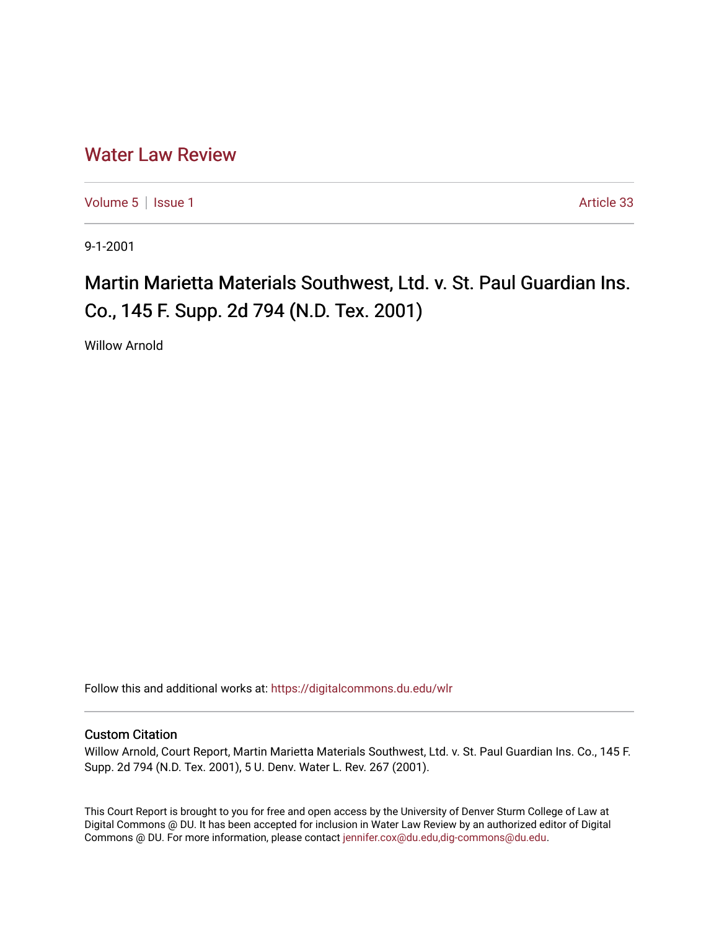# [Water Law Review](https://digitalcommons.du.edu/wlr)

[Volume 5](https://digitalcommons.du.edu/wlr/vol5) | [Issue 1](https://digitalcommons.du.edu/wlr/vol5/iss1) Article 33

9-1-2001

# Martin Marietta Materials Southwest, Ltd. v. St. Paul Guardian Ins. Co., 145 F. Supp. 2d 794 (N.D. Tex. 2001)

Willow Arnold

Follow this and additional works at: [https://digitalcommons.du.edu/wlr](https://digitalcommons.du.edu/wlr?utm_source=digitalcommons.du.edu%2Fwlr%2Fvol5%2Fiss1%2F33&utm_medium=PDF&utm_campaign=PDFCoverPages) 

## Custom Citation

Willow Arnold, Court Report, Martin Marietta Materials Southwest, Ltd. v. St. Paul Guardian Ins. Co., 145 F. Supp. 2d 794 (N.D. Tex. 2001), 5 U. Denv. Water L. Rev. 267 (2001).

This Court Report is brought to you for free and open access by the University of Denver Sturm College of Law at Digital Commons @ DU. It has been accepted for inclusion in Water Law Review by an authorized editor of Digital Commons @ DU. For more information, please contact [jennifer.cox@du.edu,dig-commons@du.edu.](mailto:jennifer.cox@du.edu,dig-commons@du.edu)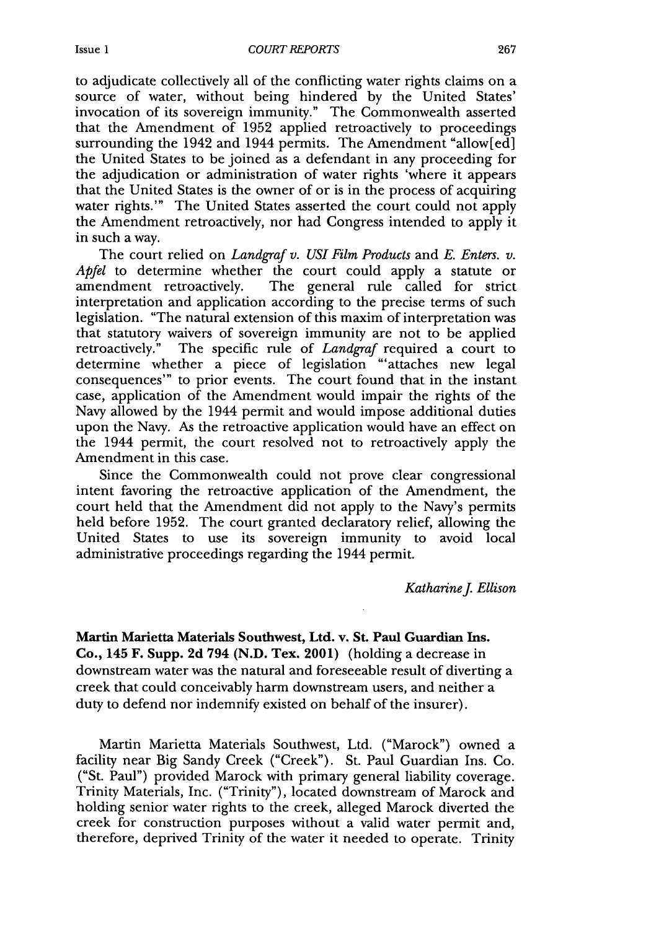to adjudicate collectively all of the conflicting water rights claims on a source of water, without being hindered by the United States' invocation of its sovereign immunity." The Commonwealth asserted that the Amendment of 1952 applied retroactively to proceedings surrounding the 1942 and 1944 permits. The Amendment "allow[ed] the United States to be joined as a defendant in any proceeding for the adjudication or administration of water rights 'where it appears that the United States is the owner of or is in the process of acquiring water rights."' The United States asserted the court could not apply the Amendment retroactively, nor had Congress intended to apply it in such a way.

The court relied on *Landgraf v. USI Film Products* and *E. Enters. v. Apfel* to determine whether the court could apply a statute or amendment retroactively. The general rule called for strict interpretation and application according to the precise terms of such legislation. "The natural extension of this maxim of interpretation was that statutory waivers of sovereign immunity are not to be applied retroactively." The specific rule of *Landgraf* required a court to determine whether a piece of legislation "'attaches new legal consequences"' to prior events. The court found that in the instant case, application of the Amendment would impair the rights of the Navy allowed by the 1944 permit and would impose additional duties upon the Navy. As the retroactive application would have an effect on the 1944 permit, the court resolved not to retroactively apply the Amendment in this case.

Since the Commonwealth could not prove clear congressional intent favoring the retroactive application of the Amendment, the court held that the Amendment did not apply to the Navy's permits held before 1952. The court granted declaratory relief, allowing the United States to use its sovereign immunity to avoid local administrative proceedings regarding the 1944 permit.

*KatharineJ Ellison*

**Martin** Marietta Materials Southwest, Ltd. v. St. Paul Guardian **Ins.** Co., 145 F. Supp. **2d** 794 (N.D. Tex. 2001) (holding a decrease in downstream water was the natural and foreseeable result of diverting a creek that could conceivably harm downstream users, and neither a duty to defend nor indemnify existed on behalf of the insurer).

Martin Marietta Materials Southwest, Ltd. ("Marock") owned a facility near Big Sandy Creek ("Creek"). St. Paul Guardian Ins. Co. ("St. Paul") provided Marock with primary general liability coverage. Trinity Materials, Inc. ("Trinity"), located downstream of Marock and holding senior water rights to the creek, alleged Marock diverted the creek for construction purposes without a valid water permit and, therefore, deprived Trinity of the water it needed to operate. Trinity